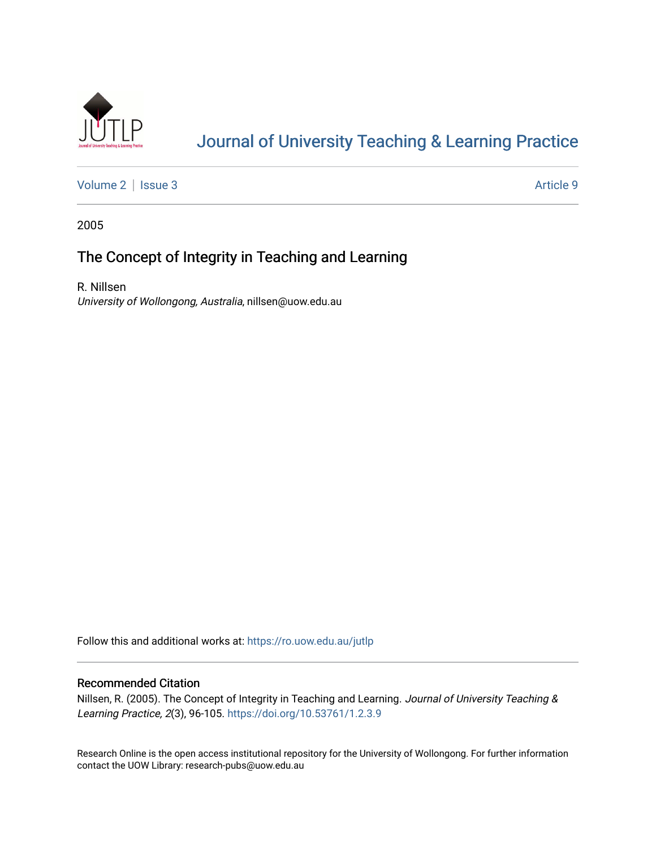

## [Journal of University Teaching & Learning Practice](https://ro.uow.edu.au/jutlp)

[Volume 2](https://ro.uow.edu.au/jutlp/vol2) | [Issue 3](https://ro.uow.edu.au/jutlp/vol2/iss3) Article 9

2005

### The Concept of Integrity in Teaching and Learning

R. Nillsen University of Wollongong, Australia, nillsen@uow.edu.au

Follow this and additional works at: [https://ro.uow.edu.au/jutlp](https://ro.uow.edu.au/jutlp?utm_source=ro.uow.edu.au%2Fjutlp%2Fvol2%2Fiss3%2F9&utm_medium=PDF&utm_campaign=PDFCoverPages) 

#### Recommended Citation

Nillsen, R. (2005). The Concept of Integrity in Teaching and Learning. Journal of University Teaching & Learning Practice, 2(3), 96-105.<https://doi.org/10.53761/1.2.3.9>

Research Online is the open access institutional repository for the University of Wollongong. For further information contact the UOW Library: research-pubs@uow.edu.au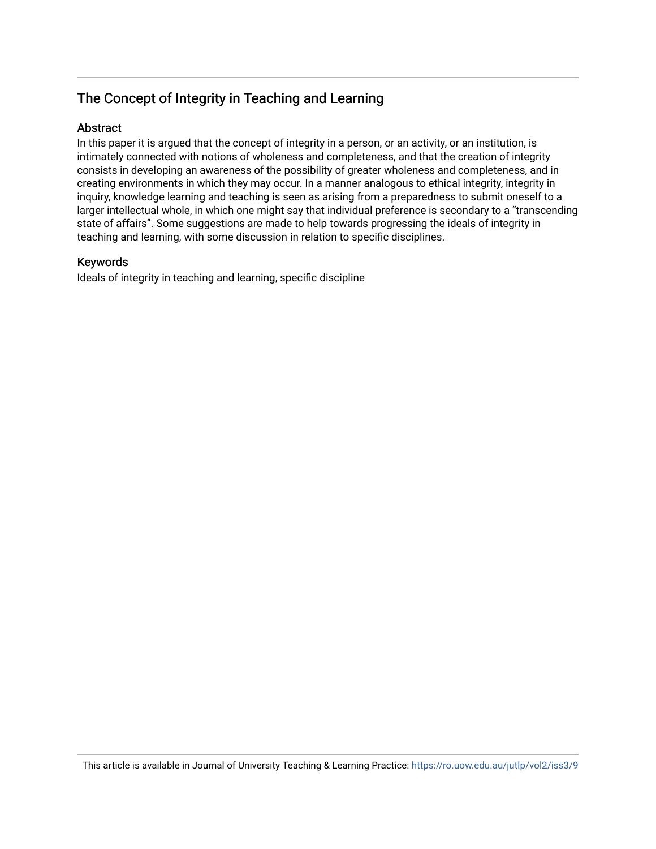### The Concept of Integrity in Teaching and Learning

#### Abstract

In this paper it is argued that the concept of integrity in a person, or an activity, or an institution, is intimately connected with notions of wholeness and completeness, and that the creation of integrity consists in developing an awareness of the possibility of greater wholeness and completeness, and in creating environments in which they may occur. In a manner analogous to ethical integrity, integrity in inquiry, knowledge learning and teaching is seen as arising from a preparedness to submit oneself to a larger intellectual whole, in which one might say that individual preference is secondary to a "transcending state of affairs". Some suggestions are made to help towards progressing the ideals of integrity in teaching and learning, with some discussion in relation to specific disciplines.

#### Keywords

Ideals of integrity in teaching and learning, specific discipline

This article is available in Journal of University Teaching & Learning Practice:<https://ro.uow.edu.au/jutlp/vol2/iss3/9>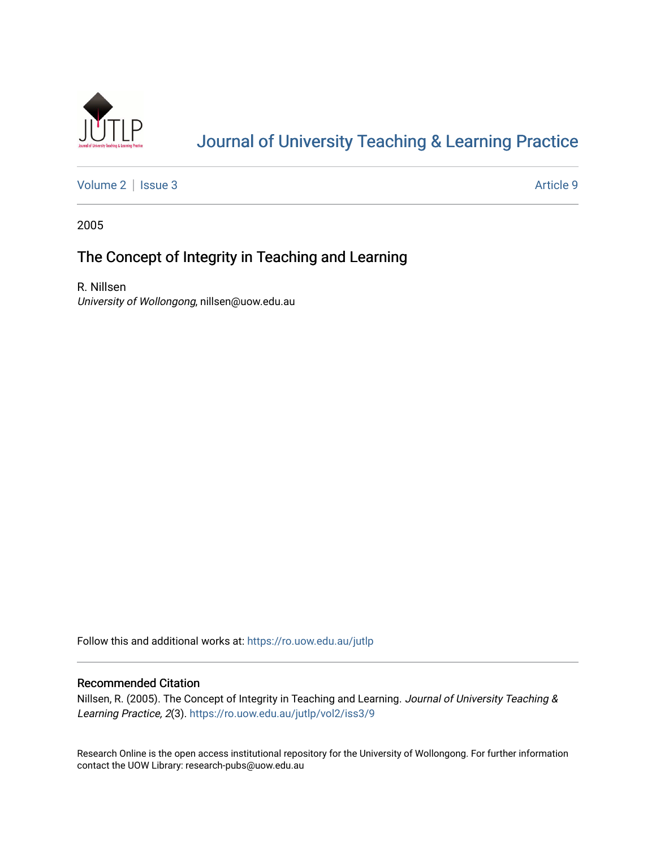

## [Journal of University Teaching & Learning Practice](https://ro.uow.edu.au/jutlp)

[Volume 2](https://ro.uow.edu.au/jutlp/vol2) | [Issue 3](https://ro.uow.edu.au/jutlp/vol2/iss3) Article 9

2005

### The Concept of Integrity in Teaching and Learning

R. Nillsen University of Wollongong, nillsen@uow.edu.au

Follow this and additional works at: [https://ro.uow.edu.au/jutlp](https://ro.uow.edu.au/jutlp?utm_source=ro.uow.edu.au%2Fjutlp%2Fvol2%2Fiss3%2F9&utm_medium=PDF&utm_campaign=PDFCoverPages) 

#### Recommended Citation

Nillsen, R. (2005). The Concept of Integrity in Teaching and Learning. Journal of University Teaching & Learning Practice, 2(3). [https://ro.uow.edu.au/jutlp/vol2/iss3/9](https://ro.uow.edu.au/jutlp/vol2/iss3/9?utm_source=ro.uow.edu.au%2Fjutlp%2Fvol2%2Fiss3%2F9&utm_medium=PDF&utm_campaign=PDFCoverPages)

Research Online is the open access institutional repository for the University of Wollongong. For further information contact the UOW Library: research-pubs@uow.edu.au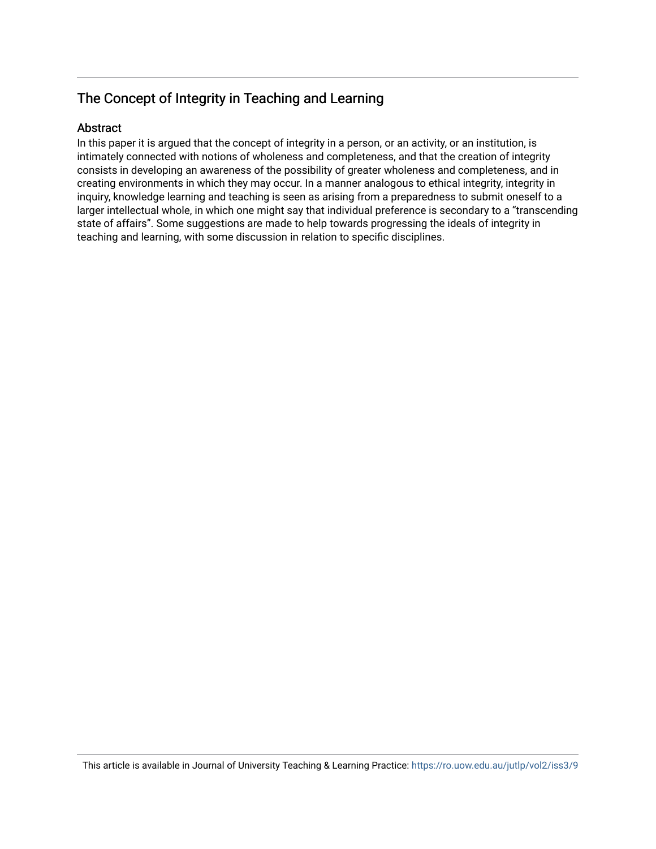### The Concept of Integrity in Teaching and Learning

#### Abstract

In this paper it is argued that the concept of integrity in a person, or an activity, or an institution, is intimately connected with notions of wholeness and completeness, and that the creation of integrity consists in developing an awareness of the possibility of greater wholeness and completeness, and in creating environments in which they may occur. In a manner analogous to ethical integrity, integrity in inquiry, knowledge learning and teaching is seen as arising from a preparedness to submit oneself to a larger intellectual whole, in which one might say that individual preference is secondary to a "transcending state of affairs". Some suggestions are made to help towards progressing the ideals of integrity in teaching and learning, with some discussion in relation to specific disciplines.

This article is available in Journal of University Teaching & Learning Practice:<https://ro.uow.edu.au/jutlp/vol2/iss3/9>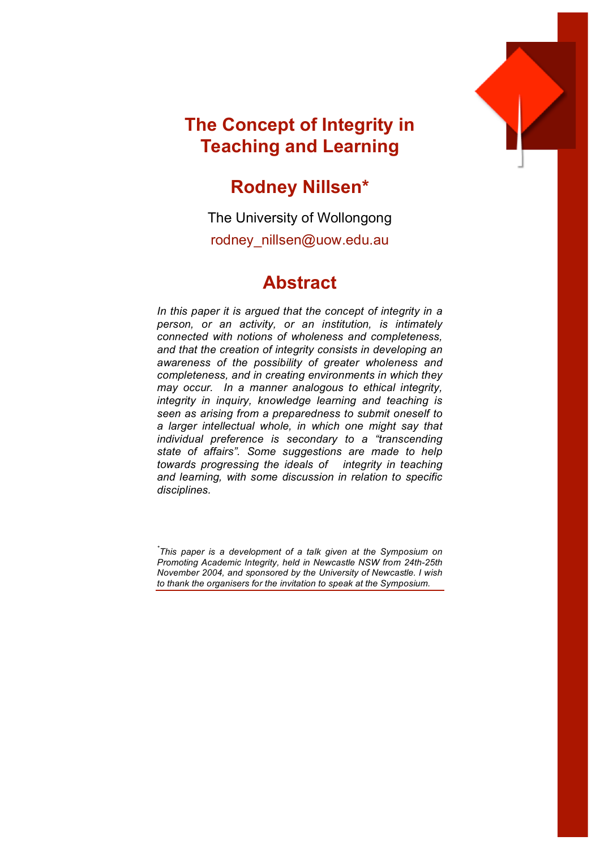

## **The Concept of Integrity in Teaching and Learning**

## **Rodney Nillsen\***

The University of Wollongong rodney\_nillsen@uow.edu.au

## **Abstract**

*In this paper it is argued that the concept of integrity in a person, or an activity, or an institution, is intimately connected with notions of wholeness and completeness, and that the creation of integrity consists in developing an awareness of the possibility of greater wholeness and completeness, and in creating environments in which they may occur. In a manner analogous to ethical integrity, integrity in inquiry, knowledge learning and teaching is seen as arising from a preparedness to submit oneself to a larger intellectual whole, in which one might say that individual preference is secondary to a "transcending state of affairs". Some suggestions are made to help towards progressing the ideals of integrity in teaching and learning, with some discussion in relation to specific disciplines.*

*\* This paper is a development of a talk given at the Symposium on Promoting Academic Integrity, held in Newcastle NSW from 24th-25th November 2004, and sponsored by the University of Newcastle. I wish to thank the organisers for the invitation to speak at the Symposium.*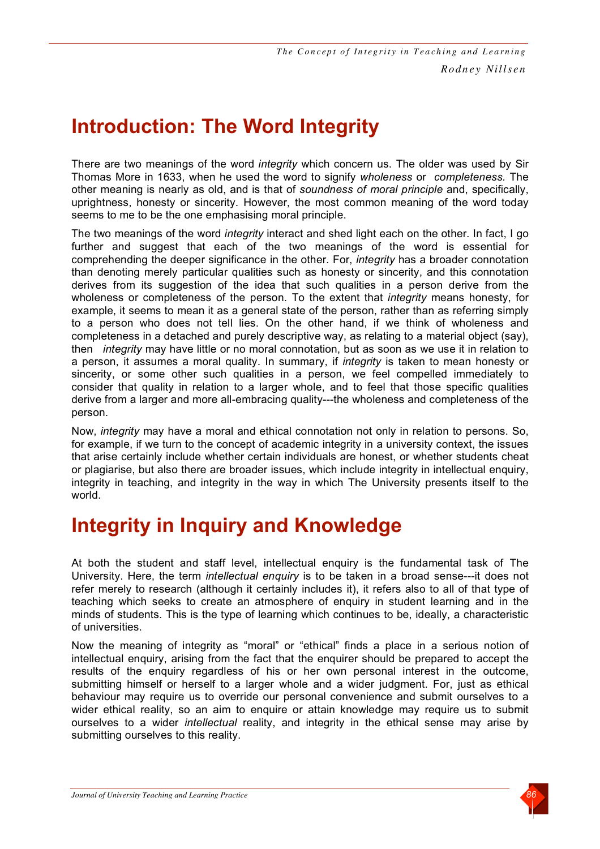# **Introduction: The Word Integrity**

There are two meanings of the word *integrity* which concern us. The older was used by Sir Thomas More in 1633, when he used the word to signify *wholeness* or *completeness.* The other meaning is nearly as old, and is that of *soundness of moral principle* and, specifically, uprightness, honesty or sincerity. However, the most common meaning of the word today seems to me to be the one emphasising moral principle.

The two meanings of the word *integrity* interact and shed light each on the other. In fact, I go further and suggest that each of the two meanings of the word is essential for comprehending the deeper significance in the other. For, *integrity* has a broader connotation than denoting merely particular qualities such as honesty or sincerity, and this connotation derives from its suggestion of the idea that such qualities in a person derive from the wholeness or completeness of the person. To the extent that *integrity* means honesty, for example, it seems to mean it as a general state of the person, rather than as referring simply to a person who does not tell lies. On the other hand, if we think of wholeness and completeness in a detached and purely descriptive way, as relating to a material object (say), then *integrity* may have little or no moral connotation, but as soon as we use it in relation to a person, it assumes a moral quality. In summary, if *integrity* is taken to mean honesty or sincerity, or some other such qualities in a person, we feel compelled immediately to consider that quality in relation to a larger whole, and to feel that those specific qualities derive from a larger and more all-embracing quality---the wholeness and completeness of the person.

Now, *integrity* may have a moral and ethical connotation not only in relation to persons. So, for example, if we turn to the concept of academic integrity in a university context, the issues that arise certainly include whether certain individuals are honest, or whether students cheat or plagiarise, but also there are broader issues, which include integrity in intellectual enquiry, integrity in teaching, and integrity in the way in which The University presents itself to the world.

## **Integrity in Inquiry and Knowledge**

At both the student and staff level, intellectual enquiry is the fundamental task of The University. Here, the term *intellectual enquiry* is to be taken in a broad sense---it does not refer merely to research (although it certainly includes it), it refers also to all of that type of teaching which seeks to create an atmosphere of enquiry in student learning and in the minds of students. This is the type of learning which continues to be, ideally, a characteristic of universities.

Now the meaning of integrity as "moral" or "ethical" finds a place in a serious notion of intellectual enquiry, arising from the fact that the enquirer should be prepared to accept the results of the enquiry regardless of his or her own personal interest in the outcome, submitting himself or herself to a larger whole and a wider judgment. For, just as ethical behaviour may require us to override our personal convenience and submit ourselves to a wider ethical reality, so an aim to enquire or attain knowledge may require us to submit ourselves to a wider *intellectual* reality, and integrity in the ethical sense may arise by submitting ourselves to this reality.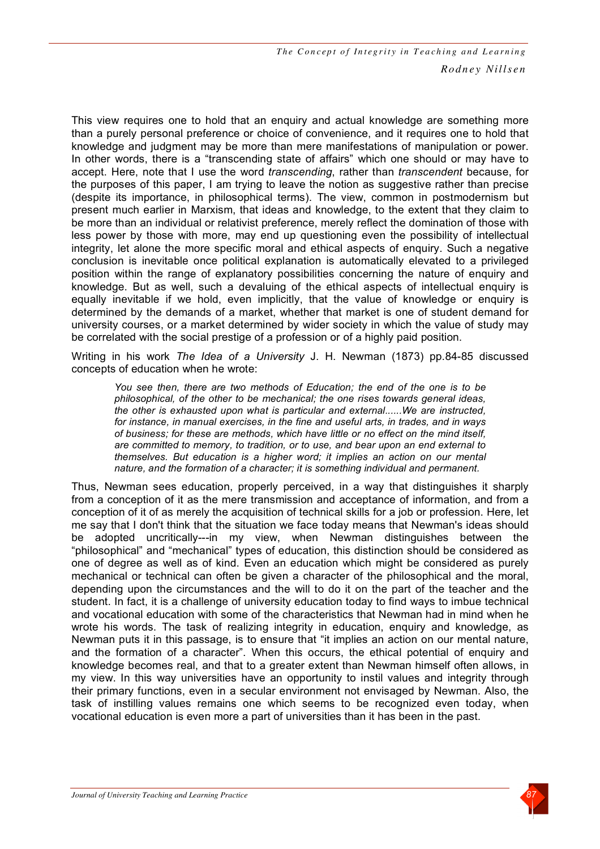This view requires one to hold that an enquiry and actual knowledge are something more than a purely personal preference or choice of convenience, and it requires one to hold that knowledge and judgment may be more than mere manifestations of manipulation or power. In other words, there is a "transcending state of affairs" which one should or may have to accept. Here, note that I use the word *transcending*, rather than *transcendent* because, for the purposes of this paper, I am trying to leave the notion as suggestive rather than precise (despite its importance, in philosophical terms). The view, common in postmodernism but present much earlier in Marxism, that ideas and knowledge, to the extent that they claim to be more than an individual or relativist preference, merely reflect the domination of those with less power by those with more, may end up questioning even the possibility of intellectual integrity, let alone the more specific moral and ethical aspects of enquiry. Such a negative conclusion is inevitable once political explanation is automatically elevated to a privileged position within the range of explanatory possibilities concerning the nature of enquiry and knowledge. But as well, such a devaluing of the ethical aspects of intellectual enquiry is equally inevitable if we hold, even implicitly, that the value of knowledge or enquiry is determined by the demands of a market, whether that market is one of student demand for university courses, or a market determined by wider society in which the value of study may be correlated with the social prestige of a profession or of a highly paid position.

Writing in his work *The Idea of a University* J. H. Newman (1873) pp.84-85 discussed concepts of education when he wrote:

*You see then, there are two methods of Education; the end of the one is to be philosophical, of the other to be mechanical; the one rises towards general ideas, the other is exhausted upon what is particular and external......We are instructed, for instance, in manual exercises, in the fine and useful arts, in trades, and in ways of business; for these are methods, which have little or no effect on the mind itself, are committed to memory, to tradition, or to use, and bear upon an end external to themselves. But education is a higher word; it implies an action on our mental nature, and the formation of a character; it is something individual and permanent.*

Thus, Newman sees education, properly perceived, in a way that distinguishes it sharply from a conception of it as the mere transmission and acceptance of information, and from a conception of it of as merely the acquisition of technical skills for a job or profession. Here, let me say that I don't think that the situation we face today means that Newman's ideas should be adopted uncritically---in my view, when Newman distinguishes between the "philosophical" and "mechanical" types of education, this distinction should be considered as one of degree as well as of kind. Even an education which might be considered as purely mechanical or technical can often be given a character of the philosophical and the moral, depending upon the circumstances and the will to do it on the part of the teacher and the student. In fact, it is a challenge of university education today to find ways to imbue technical and vocational education with some of the characteristics that Newman had in mind when he wrote his words. The task of realizing integrity in education, enquiry and knowledge, as Newman puts it in this passage, is to ensure that "it implies an action on our mental nature, and the formation of a character". When this occurs, the ethical potential of enquiry and knowledge becomes real, and that to a greater extent than Newman himself often allows, in my view. In this way universities have an opportunity to instil values and integrity through their primary functions, even in a secular environment not envisaged by Newman. Also, the task of instilling values remains one which seems to be recognized even today, when vocational education is even more a part of universities than it has been in the past.

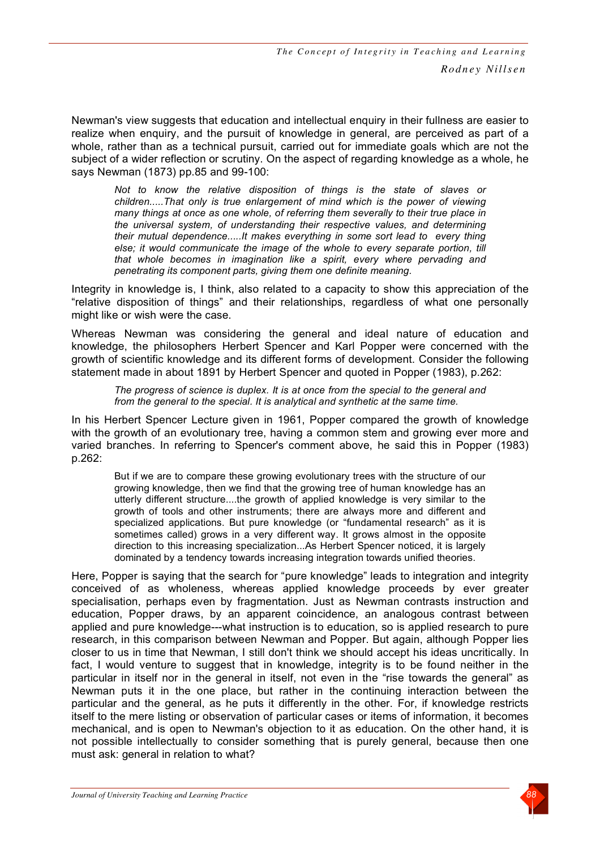Newman's view suggests that education and intellectual enquiry in their fullness are easier to realize when enquiry, and the pursuit of knowledge in general, are perceived as part of a whole, rather than as a technical pursuit, carried out for immediate goals which are not the subject of a wider reflection or scrutiny. On the aspect of regarding knowledge as a whole, he says Newman (1873) pp.85 and 99-100:

*Not to know the relative disposition of things is the state of slaves or children.....That only is true enlargement of mind which is the power of viewing many things at once as one whole, of referring them severally to their true place in the universal system, of understanding their respective values, and determining their mutual dependence.....It makes everything in some sort lead to every thing else; it would communicate the image of the whole to every separate portion, till that whole becomes in imagination like a spirit, every where pervading and penetrating its component parts, giving them one definite meaning.*

Integrity in knowledge is, I think, also related to a capacity to show this appreciation of the "relative disposition of things" and their relationships, regardless of what one personally might like or wish were the case.

Whereas Newman was considering the general and ideal nature of education and knowledge, the philosophers Herbert Spencer and Karl Popper were concerned with the growth of scientific knowledge and its different forms of development. Consider the following statement made in about 1891 by Herbert Spencer and quoted in Popper (1983), p.262:

*The progress of science is duplex. It is at once from the special to the general and from the general to the special. It is analytical and synthetic at the same time.*

In his Herbert Spencer Lecture given in 1961, Popper compared the growth of knowledge with the growth of an evolutionary tree, having a common stem and growing ever more and varied branches. In referring to Spencer's comment above, he said this in Popper (1983) p.262:

But if we are to compare these growing evolutionary trees with the structure of our growing knowledge, then we find that the growing tree of human knowledge has an utterly different structure....the growth of applied knowledge is very similar to the growth of tools and other instruments; there are always more and different and specialized applications. But pure knowledge (or "fundamental research" as it is sometimes called) grows in a very different way. It grows almost in the opposite direction to this increasing specialization...As Herbert Spencer noticed, it is largely dominated by a tendency towards increasing integration towards unified theories.

Here, Popper is saying that the search for "pure knowledge" leads to integration and integrity conceived of as wholeness, whereas applied knowledge proceeds by ever greater specialisation, perhaps even by fragmentation. Just as Newman contrasts instruction and education, Popper draws, by an apparent coincidence, an analogous contrast between applied and pure knowledge---what instruction is to education, so is applied research to pure research, in this comparison between Newman and Popper. But again, although Popper lies closer to us in time that Newman, I still don't think we should accept his ideas uncritically. In fact, I would venture to suggest that in knowledge, integrity is to be found neither in the particular in itself nor in the general in itself, not even in the "rise towards the general" as Newman puts it in the one place, but rather in the continuing interaction between the particular and the general, as he puts it differently in the other. For, if knowledge restricts itself to the mere listing or observation of particular cases or items of information, it becomes mechanical, and is open to Newman's objection to it as education. On the other hand, it is not possible intellectually to consider something that is purely general, because then one must ask: general in relation to what?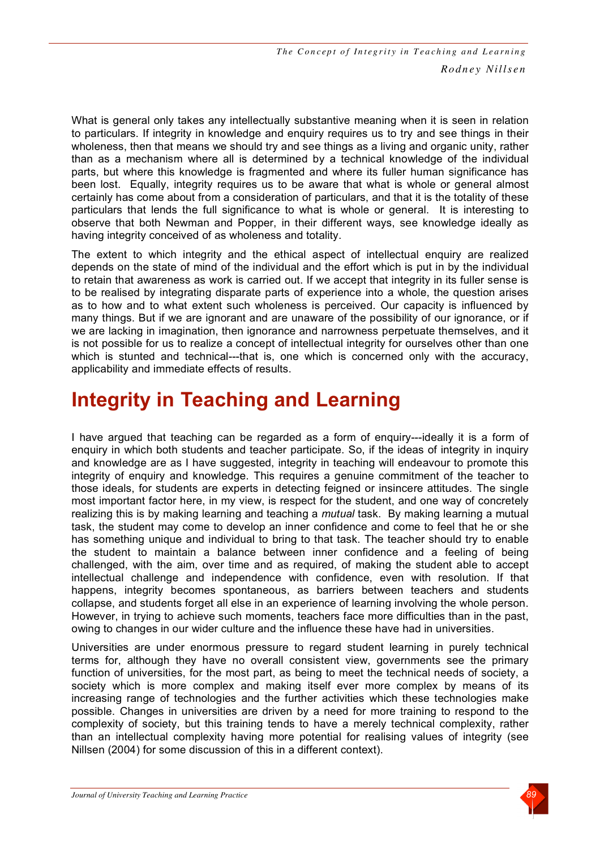What is general only takes any intellectually substantive meaning when it is seen in relation to particulars. If integrity in knowledge and enquiry requires us to try and see things in their wholeness, then that means we should try and see things as a living and organic unity, rather than as a mechanism where all is determined by a technical knowledge of the individual parts, but where this knowledge is fragmented and where its fuller human significance has been lost. Equally, integrity requires us to be aware that what is whole or general almost certainly has come about from a consideration of particulars, and that it is the totality of these particulars that lends the full significance to what is whole or general. It is interesting to observe that both Newman and Popper, in their different ways, see knowledge ideally as having integrity conceived of as wholeness and totality.

The extent to which integrity and the ethical aspect of intellectual enquiry are realized depends on the state of mind of the individual and the effort which is put in by the individual to retain that awareness as work is carried out. If we accept that integrity in its fuller sense is to be realised by integrating disparate parts of experience into a whole, the question arises as to how and to what extent such wholeness is perceived. Our capacity is influenced by many things. But if we are ignorant and are unaware of the possibility of our ignorance, or if we are lacking in imagination, then ignorance and narrowness perpetuate themselves, and it is not possible for us to realize a concept of intellectual integrity for ourselves other than one which is stunted and technical---that is, one which is concerned only with the accuracy, applicability and immediate effects of results.

# **Integrity in Teaching and Learning**

I have argued that teaching can be regarded as a form of enquiry---ideally it is a form of enquiry in which both students and teacher participate. So, if the ideas of integrity in inquiry and knowledge are as I have suggested, integrity in teaching will endeavour to promote this integrity of enquiry and knowledge. This requires a genuine commitment of the teacher to those ideals, for students are experts in detecting feigned or insincere attitudes. The single most important factor here, in my view, is respect for the student, and one way of concretely realizing this is by making learning and teaching a *mutual* task. By making learning a mutual task, the student may come to develop an inner confidence and come to feel that he or she has something unique and individual to bring to that task. The teacher should try to enable the student to maintain a balance between inner confidence and a feeling of being challenged, with the aim, over time and as required, of making the student able to accept intellectual challenge and independence with confidence, even with resolution. If that happens, integrity becomes spontaneous, as barriers between teachers and students collapse, and students forget all else in an experience of learning involving the whole person. However, in trying to achieve such moments, teachers face more difficulties than in the past, owing to changes in our wider culture and the influence these have had in universities.

Universities are under enormous pressure to regard student learning in purely technical terms for, although they have no overall consistent view, governments see the primary function of universities, for the most part, as being to meet the technical needs of society, a society which is more complex and making itself ever more complex by means of its increasing range of technologies and the further activities which these technologies make possible. Changes in universities are driven by a need for more training to respond to the complexity of society, but this training tends to have a merely technical complexity, rather than an intellectual complexity having more potential for realising values of integrity (see Nillsen (2004) for some discussion of this in a different context).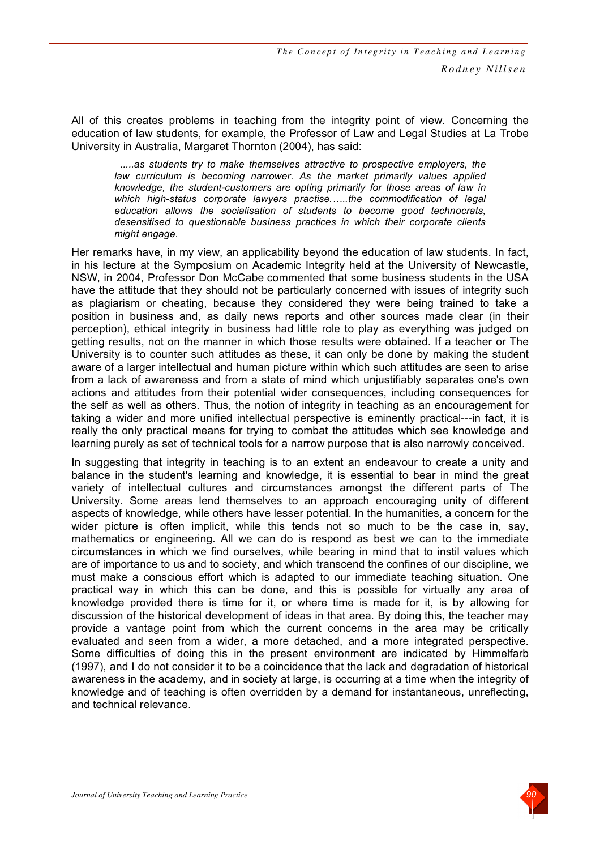All of this creates problems in teaching from the integrity point of view. Concerning the education of law students, for example, the Professor of Law and Legal Studies at La Trobe University in Australia, Margaret Thornton (2004), has said:

*.....as students try to make themselves attractive to prospective employers, the law curriculum is becoming narrower. As the market primarily values applied knowledge, the student-customers are opting primarily for those areas of law in which high-status corporate lawyers practise.…..the commodification of legal education allows the socialisation of students to become good technocrats, desensitised to questionable business practices in which their corporate clients might engage.*

Her remarks have, in my view, an applicability beyond the education of law students. In fact, in his lecture at the Symposium on Academic Integrity held at the University of Newcastle, NSW, in 2004, Professor Don McCabe commented that some business students in the USA have the attitude that they should not be particularly concerned with issues of integrity such as plagiarism or cheating, because they considered they were being trained to take a position in business and, as daily news reports and other sources made clear (in their perception), ethical integrity in business had little role to play as everything was judged on getting results, not on the manner in which those results were obtained. If a teacher or The University is to counter such attitudes as these, it can only be done by making the student aware of a larger intellectual and human picture within which such attitudes are seen to arise from a lack of awareness and from a state of mind which unjustifiably separates one's own actions and attitudes from their potential wider consequences, including consequences for the self as well as others. Thus, the notion of integrity in teaching as an encouragement for taking a wider and more unified intellectual perspective is eminently practical---in fact, it is really the only practical means for trying to combat the attitudes which see knowledge and learning purely as set of technical tools for a narrow purpose that is also narrowly conceived.

In suggesting that integrity in teaching is to an extent an endeavour to create a unity and balance in the student's learning and knowledge, it is essential to bear in mind the great variety of intellectual cultures and circumstances amongst the different parts of The University. Some areas lend themselves to an approach encouraging unity of different aspects of knowledge, while others have lesser potential. In the humanities, a concern for the wider picture is often implicit, while this tends not so much to be the case in, say, mathematics or engineering. All we can do is respond as best we can to the immediate circumstances in which we find ourselves, while bearing in mind that to instil values which are of importance to us and to society, and which transcend the confines of our discipline, we must make a conscious effort which is adapted to our immediate teaching situation. One practical way in which this can be done, and this is possible for virtually any area of knowledge provided there is time for it, or where time is made for it, is by allowing for discussion of the historical development of ideas in that area. By doing this, the teacher may provide a vantage point from which the current concerns in the area may be critically evaluated and seen from a wider, a more detached, and a more integrated perspective. Some difficulties of doing this in the present environment are indicated by Himmelfarb (1997), and I do not consider it to be a coincidence that the lack and degradation of historical awareness in the academy, and in society at large, is occurring at a time when the integrity of knowledge and of teaching is often overridden by a demand for instantaneous, unreflecting, and technical relevance.

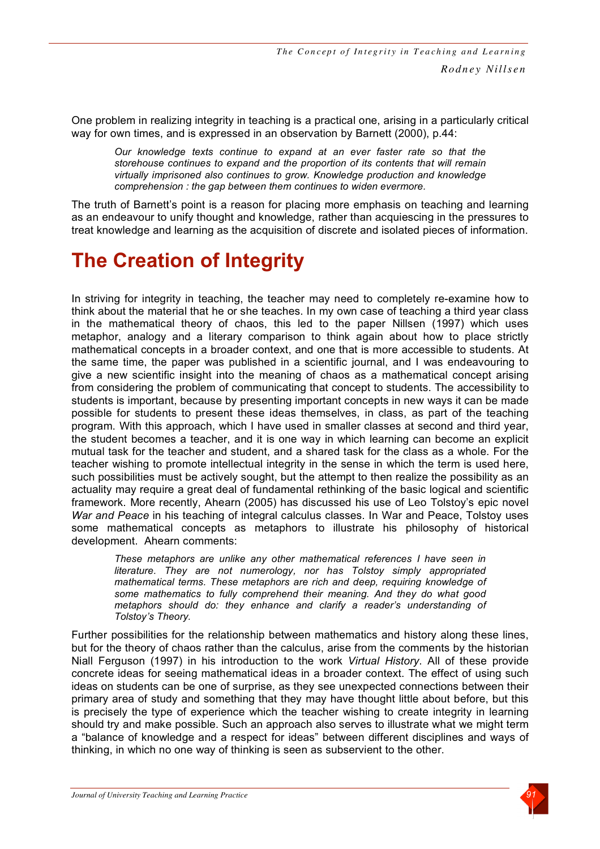One problem in realizing integrity in teaching is a practical one, arising in a particularly critical way for own times, and is expressed in an observation by Barnett (2000), p.44:

*Our knowledge texts continue to expand at an ever faster rate so that the storehouse continues to expand and the proportion of its contents that will remain virtually imprisoned also continues to grow. Knowledge production and knowledge comprehension : the gap between them continues to widen evermore.*

The truth of Barnett's point is a reason for placing more emphasis on teaching and learning as an endeavour to unify thought and knowledge, rather than acquiescing in the pressures to treat knowledge and learning as the acquisition of discrete and isolated pieces of information.

# **The Creation of Integrity**

In striving for integrity in teaching, the teacher may need to completely re-examine how to think about the material that he or she teaches. In my own case of teaching a third year class in the mathematical theory of chaos, this led to the paper Nillsen (1997) which uses metaphor, analogy and a literary comparison to think again about how to place strictly mathematical concepts in a broader context, and one that is more accessible to students. At the same time, the paper was published in a scientific journal, and I was endeavouring to give a new scientific insight into the meaning of chaos as a mathematical concept arising from considering the problem of communicating that concept to students. The accessibility to students is important, because by presenting important concepts in new ways it can be made possible for students to present these ideas themselves, in class, as part of the teaching program. With this approach, which I have used in smaller classes at second and third year, the student becomes a teacher, and it is one way in which learning can become an explicit mutual task for the teacher and student, and a shared task for the class as a whole. For the teacher wishing to promote intellectual integrity in the sense in which the term is used here, such possibilities must be actively sought, but the attempt to then realize the possibility as an actuality may require a great deal of fundamental rethinking of the basic logical and scientific framework. More recently, Ahearn (2005) has discussed his use of Leo Tolstoy's epic novel *War and Peace* in his teaching of integral calculus classes. In War and Peace, Tolstoy uses some mathematical concepts as metaphors to illustrate his philosophy of historical development. Ahearn comments:

*These metaphors are unlike any other mathematical references I have seen in literature. They are not numerology, nor has Tolstoy simply appropriated mathematical terms. These metaphors are rich and deep, requiring knowledge of some mathematics to fully comprehend their meaning. And they do what good metaphors should do: they enhance and clarify a reader's understanding of Tolstoy's Theory.*

Further possibilities for the relationship between mathematics and history along these lines, but for the theory of chaos rather than the calculus, arise from the comments by the historian Niall Ferguson (1997) in his introduction to the work *Virtual History*. All of these provide concrete ideas for seeing mathematical ideas in a broader context. The effect of using such ideas on students can be one of surprise, as they see unexpected connections between their primary area of study and something that they may have thought little about before, but this is precisely the type of experience which the teacher wishing to create integrity in learning should try and make possible. Such an approach also serves to illustrate what we might term a "balance of knowledge and a respect for ideas" between different disciplines and ways of thinking, in which no one way of thinking is seen as subservient to the other.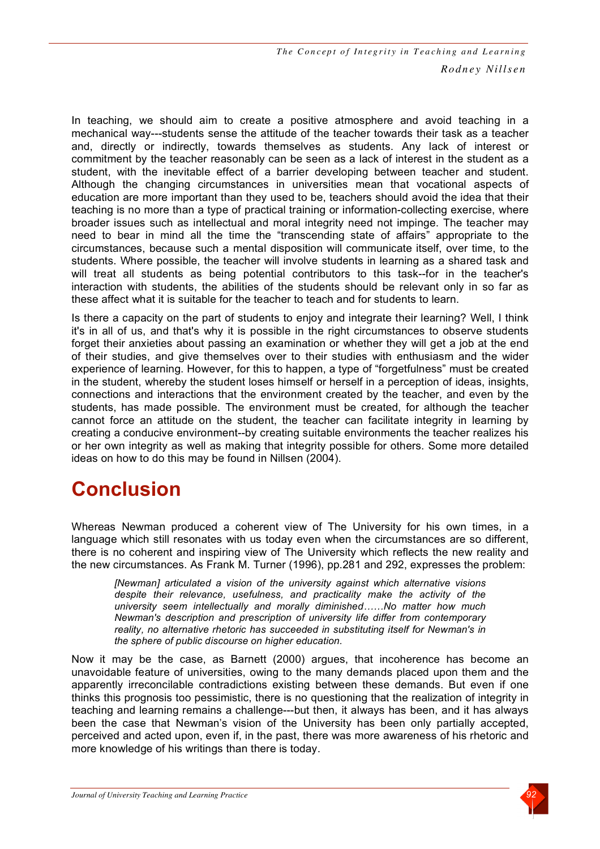In teaching, we should aim to create a positive atmosphere and avoid teaching in a mechanical way---students sense the attitude of the teacher towards their task as a teacher and, directly or indirectly, towards themselves as students. Any lack of interest or commitment by the teacher reasonably can be seen as a lack of interest in the student as a student, with the inevitable effect of a barrier developing between teacher and student. Although the changing circumstances in universities mean that vocational aspects of education are more important than they used to be, teachers should avoid the idea that their teaching is no more than a type of practical training or information-collecting exercise, where broader issues such as intellectual and moral integrity need not impinge. The teacher may need to bear in mind all the time the "transcending state of affairs" appropriate to the circumstances, because such a mental disposition will communicate itself, over time, to the students. Where possible, the teacher will involve students in learning as a shared task and will treat all students as being potential contributors to this task--for in the teacher's interaction with students, the abilities of the students should be relevant only in so far as these affect what it is suitable for the teacher to teach and for students to learn.

Is there a capacity on the part of students to enjoy and integrate their learning? Well, I think it's in all of us, and that's why it is possible in the right circumstances to observe students forget their anxieties about passing an examination or whether they will get a job at the end of their studies, and give themselves over to their studies with enthusiasm and the wider experience of learning. However, for this to happen, a type of "forgetfulness" must be created in the student, whereby the student loses himself or herself in a perception of ideas, insights, connections and interactions that the environment created by the teacher, and even by the students, has made possible. The environment must be created, for although the teacher cannot force an attitude on the student, the teacher can facilitate integrity in learning by creating a conducive environment--by creating suitable environments the teacher realizes his or her own integrity as well as making that integrity possible for others. Some more detailed ideas on how to do this may be found in Nillsen (2004).

# **Conclusion**

Whereas Newman produced a coherent view of The University for his own times, in a language which still resonates with us today even when the circumstances are so different, there is no coherent and inspiring view of The University which reflects the new reality and the new circumstances. As Frank M. Turner (1996), pp.281 and 292, expresses the problem:

*[Newman] articulated a vision of the university against which alternative visions despite their relevance, usefulness, and practicality make the activity of the university seem intellectually and morally diminished……No matter how much Newman's description and prescription of university life differ from contemporary reality, no alternative rhetoric has succeeded in substituting itself for Newman's in the sphere of public discourse on higher education.*

Now it may be the case, as Barnett (2000) argues, that incoherence has become an unavoidable feature of universities, owing to the many demands placed upon them and the apparently irreconcilable contradictions existing between these demands. But even if one thinks this prognosis too pessimistic, there is no questioning that the realization of integrity in teaching and learning remains a challenge---but then, it always has been, and it has always been the case that Newman's vision of the University has been only partially accepted, perceived and acted upon, even if, in the past, there was more awareness of his rhetoric and more knowledge of his writings than there is today.